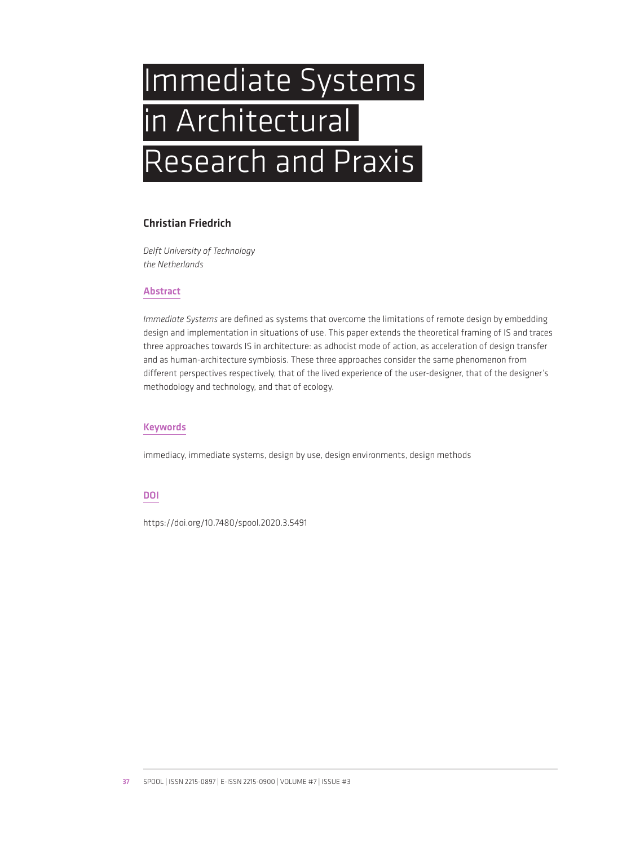# Immediate Systems in Architectural Research and Praxis

## Christian Friedrich

*Delft University of Technology the Netherlands*

### Abstract

*Immediate Systems* are defined as systems that overcome the limitations of remote design by embedding design and implementation in situations of use. This paper extends the theoretical framing of IS and traces three approaches towards IS in architecture: as adhocist mode of action, as acceleration of design transfer and as human-architecture symbiosis. These three approaches consider the same phenomenon from different perspectives respectively, that of the lived experience of the user-designer, that of the designer's methodology and technology, and that of ecology.

## Keywords

immediacy, immediate systems, design by use, design environments, design methods

### DOI

https://doi.org/10.7480/spool.2020.3.5491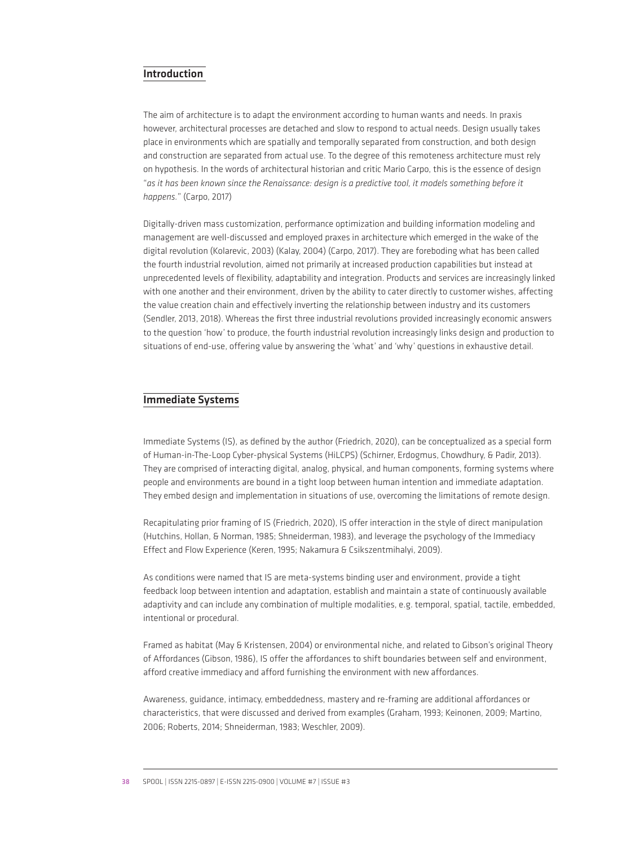## Introduction

The aim of architecture is to adapt the environment according to human wants and needs. In praxis however, architectural processes are detached and slow to respond to actual needs. Design usually takes place in environments which are spatially and temporally separated from construction, and both design and construction are separated from actual use. To the degree of this remoteness architecture must rely on hypothesis. In the words of architectural historian and critic Mario Carpo, this is the essence of design "*as it has been known since the Renaissance: design is a predictive tool, it models something before it happens.*" (Carpo, 2017)

Digitally-driven mass customization, performance optimization and building information modeling and management are well-discussed and employed praxes in architecture which emerged in the wake of the digital revolution (Kolarevic, 2003) (Kalay, 2004) (Carpo, 2017). They are foreboding what has been called the fourth industrial revolution, aimed not primarily at increased production capabilities but instead at unprecedented levels of flexibility, adaptability and integration. Products and services are increasingly linked with one another and their environment, driven by the ability to cater directly to customer wishes, affecting the value creation chain and effectively inverting the relationship between industry and its customers (Sendler, 2013, 2018). Whereas the first three industrial revolutions provided increasingly economic answers to the question 'how' to produce, the fourth industrial revolution increasingly links design and production to situations of end-use, offering value by answering the 'what' and 'why' questions in exhaustive detail.

#### Immediate Systems

Immediate Systems (IS), as defined by the author (Friedrich, 2020), can be conceptualized as a special form of Human-in-The-Loop Cyber-physical Systems (HiLCPS) (Schirner, Erdogmus, Chowdhury, & Padir, 2013). They are comprised of interacting digital, analog, physical, and human components, forming systems where people and environments are bound in a tight loop between human intention and immediate adaptation. They embed design and implementation in situations of use, overcoming the limitations of remote design.

Recapitulating prior framing of IS (Friedrich, 2020), IS offer interaction in the style of direct manipulation (Hutchins, Hollan, & Norman, 1985; Shneiderman, 1983), and leverage the psychology of the Immediacy Effect and Flow Experience (Keren, 1995; Nakamura & Csikszentmihalyi, 2009).

As conditions were named that IS are meta-systems binding user and environment, provide a tight feedback loop between intention and adaptation, establish and maintain a state of continuously available adaptivity and can include any combination of multiple modalities, e.g. temporal, spatial, tactile, embedded, intentional or procedural.

Framed as habitat (May & Kristensen, 2004) or environmental niche, and related to Gibson's original Theory of Affordances (Gibson, 1986), IS offer the affordances to shift boundaries between self and environment, afford creative immediacy and afford furnishing the environment with new affordances.

Awareness, guidance, intimacy, embeddedness, mastery and re-framing are additional affordances or characteristics, that were discussed and derived from examples (Graham, 1993; Keinonen, 2009; Martino, 2006; Roberts, 2014; Shneiderman, 1983; Weschler, 2009).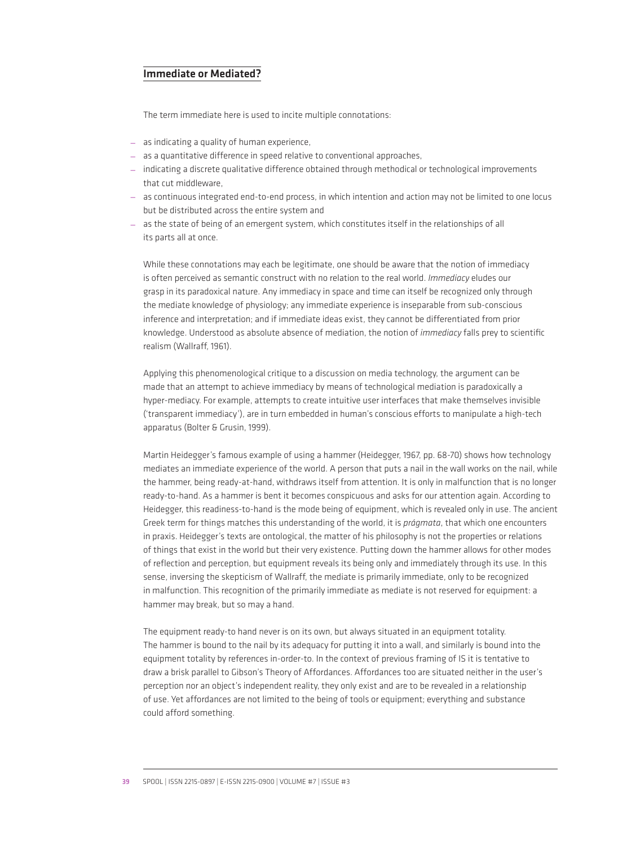## Immediate or Mediated?

The term immediate here is used to incite multiple connotations:

- as indicating a quality of human experience,
- as a quantitative difference in speed relative to conventional approaches,
- indicating a discrete qualitative difference obtained through methodical or technological improvements that cut middleware,
- as continuous integrated end-to-end process, in which intention and action may not be limited to one locus but be distributed across the entire system and
- as the state of being of an emergent system, which constitutes itself in the relationships of all its parts all at once.

While these connotations may each be legitimate, one should be aware that the notion of immediacy is often perceived as semantic construct with no relation to the real world. *Immediacy* eludes our grasp in its paradoxical nature. Any immediacy in space and time can itself be recognized only through the mediate knowledge of physiology; any immediate experience is inseparable from sub-conscious inference and interpretation; and if immediate ideas exist, they cannot be differentiated from prior knowledge. Understood as absolute absence of mediation, the notion of *immediacy* falls prey to scientific realism (Wallraff, 1961).

Applying this phenomenological critique to a discussion on media technology, the argument can be made that an attempt to achieve immediacy by means of technological mediation is paradoxically a hyper-mediacy. For example, attempts to create intuitive user interfaces that make themselves invisible ('transparent immediacy'), are in turn embedded in human's conscious efforts to manipulate a high-tech apparatus (Bolter & Grusin, 1999).

Martin Heidegger's famous example of using a hammer (Heidegger, 1967, pp. 68-70) shows how technology mediates an immediate experience of the world. A person that puts a nail in the wall works on the nail, while the hammer, being ready-at-hand, withdraws itself from attention. It is only in malfunction that is no longer ready-to-hand. As a hammer is bent it becomes conspicuous and asks for our attention again. According to Heidegger, this readiness-to-hand is the mode being of equipment, which is revealed only in use. The ancient Greek term for things matches this understanding of the world, it is *prágmata*, that which one encounters in praxis. Heidegger's texts are ontological, the matter of his philosophy is not the properties or relations of things that exist in the world but their very existence. Putting down the hammer allows for other modes of reflection and perception, but equipment reveals its being only and immediately through its use. In this sense, inversing the skepticism of Wallraff, the mediate is primarily immediate, only to be recognized in malfunction. This recognition of the primarily immediate as mediate is not reserved for equipment: a hammer may break, but so may a hand.

The equipment ready-to hand never is on its own, but always situated in an equipment totality. The hammer is bound to the nail by its adequacy for putting it into a wall, and similarly is bound into the equipment totality by references in-order-to. In the context of previous framing of IS it is tentative to draw a brisk parallel to Gibson's Theory of Affordances. Affordances too are situated neither in the user's perception nor an object's independent reality, they only exist and are to be revealed in a relationship of use. Yet affordances are not limited to the being of tools or equipment; everything and substance could afford something.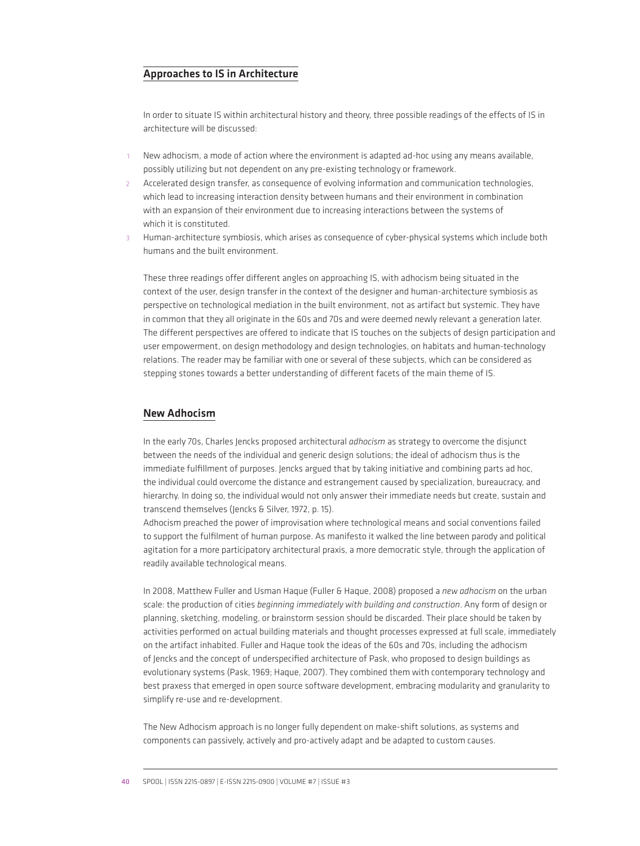## Approaches to IS in Architecture

In order to situate IS within architectural history and theory, three possible readings of the effects of IS in architecture will be discussed:

- New adhocism, a mode of action where the environment is adapted ad-hoc using any means available, possibly utilizing but not dependent on any pre-existing technology or framework.
- 2 Accelerated design transfer, as consequence of evolving information and communication technologies, which lead to increasing interaction density between humans and their environment in combination with an expansion of their environment due to increasing interactions between the systems of which it is constituted.
- Human-architecture symbiosis, which arises as consequence of cyber-physical systems which include both humans and the built environment.

These three readings offer different angles on approaching IS, with adhocism being situated in the context of the user, design transfer in the context of the designer and human-architecture symbiosis as perspective on technological mediation in the built environment, not as artifact but systemic. They have in common that they all originate in the 60s and 70s and were deemed newly relevant a generation later. The different perspectives are offered to indicate that IS touches on the subjects of design participation and user empowerment, on design methodology and design technologies, on habitats and human-technology relations. The reader may be familiar with one or several of these subjects, which can be considered as stepping stones towards a better understanding of different facets of the main theme of IS.

#### New Adhocism

In the early 70s, Charles Jencks proposed architectural *adhocism* as strategy to overcome the disjunct between the needs of the individual and generic design solutions; the ideal of adhocism thus is the immediate fulfillment of purposes. Jencks argued that by taking initiative and combining parts ad hoc, the individual could overcome the distance and estrangement caused by specialization, bureaucracy, and hierarchy. In doing so, the individual would not only answer their immediate needs but create, sustain and transcend themselves (Jencks & Silver, 1972, p. 15).

Adhocism preached the power of improvisation where technological means and social conventions failed to support the fulfilment of human purpose. As manifesto it walked the line between parody and political agitation for a more participatory architectural praxis, a more democratic style, through the application of readily available technological means.

In 2008, Matthew Fuller and Usman Haque (Fuller & Haque, 2008) proposed a *new adhocism* on the urban scale: the production of cities *beginning immediately with building and construction*. Any form of design or planning, sketching, modeling, or brainstorm session should be discarded. Their place should be taken by activities performed on actual building materials and thought processes expressed at full scale, immediately on the artifact inhabited. Fuller and Haque took the ideas of the 60s and 70s, including the adhocism of Jencks and the concept of underspecified architecture of Pask, who proposed to design buildings as evolutionary systems (Pask, 1969; Haque, 2007). They combined them with contemporary technology and best praxess that emerged in open source software development, embracing modularity and granularity to simplify re-use and re-development.

The New Adhocism approach is no longer fully dependent on make-shift solutions, as systems and components can passively, actively and pro-actively adapt and be adapted to custom causes.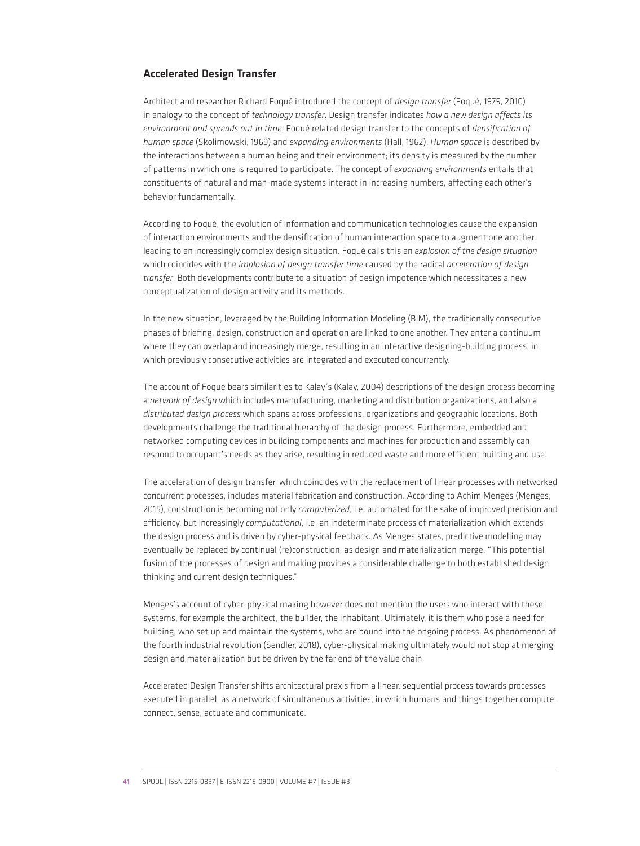#### Accelerated Design Transfer

Architect and researcher Richard Foqué introduced the concept of *design transfer* (Foqué, 1975, 2010) in analogy to the concept of *technology transfer*. Design transfer indicates *how a new design affects its environment and spreads out in time*. Foqué related design transfer to the concepts of *densification of human space* (Skolimowski, 1969) and *expanding environments* (Hall, 1962). *Human space* is described by the interactions between a human being and their environment; its density is measured by the number of patterns in which one is required to participate. The concept of *expanding environments* entails that constituents of natural and man-made systems interact in increasing numbers, affecting each other's behavior fundamentally.

According to Foqué, the evolution of information and communication technologies cause the expansion of interaction environments and the densification of human interaction space to augment one another, leading to an increasingly complex design situation. Foqué calls this an *explosion of the design situation* which coincides with the *implosion of design transfer time* caused by the radical *acceleration of design transfer*. Both developments contribute to a situation of design impotence which necessitates a new conceptualization of design activity and its methods.

In the new situation, leveraged by the Building Information Modeling (BIM), the traditionally consecutive phases of briefing, design, construction and operation are linked to one another. They enter a continuum where they can overlap and increasingly merge, resulting in an interactive designing-building process, in which previously consecutive activities are integrated and executed concurrently.

The account of Foqué bears similarities to Kalay's (Kalay, 2004) descriptions of the design process becoming a *network of design* which includes manufacturing, marketing and distribution organizations, and also a *distributed design process* which spans across professions, organizations and geographic locations. Both developments challenge the traditional hierarchy of the design process. Furthermore, embedded and networked computing devices in building components and machines for production and assembly can respond to occupant's needs as they arise, resulting in reduced waste and more efficient building and use.

The acceleration of design transfer, which coincides with the replacement of linear processes with networked concurrent processes, includes material fabrication and construction. According to Achim Menges (Menges, 2015), construction is becoming not only *computerized*, i.e. automated for the sake of improved precision and efficiency, but increasingly *computational*, i.e. an indeterminate process of materialization which extends the design process and is driven by cyber-physical feedback. As Menges states, predictive modelling may eventually be replaced by continual (re)construction, as design and materialization merge. "This potential fusion of the processes of design and making provides a considerable challenge to both established design thinking and current design techniques."

Menges's account of cyber-physical making however does not mention the users who interact with these systems, for example the architect, the builder, the inhabitant. Ultimately, it is them who pose a need for building, who set up and maintain the systems, who are bound into the ongoing process. As phenomenon of the fourth industrial revolution (Sendler, 2018), cyber-physical making ultimately would not stop at merging design and materialization but be driven by the far end of the value chain.

Accelerated Design Transfer shifts architectural praxis from a linear, sequential process towards processes executed in parallel, as a network of simultaneous activities, in which humans and things together compute, connect, sense, actuate and communicate.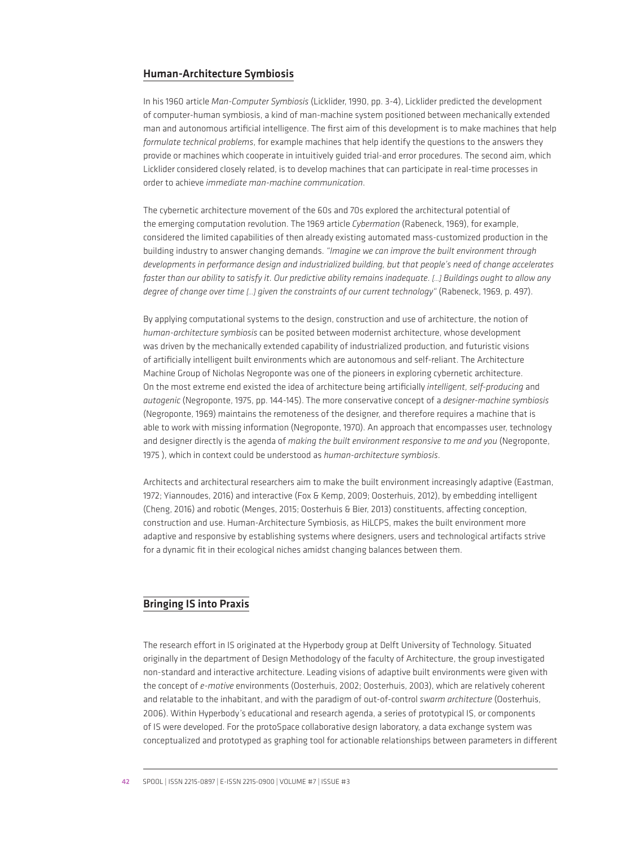#### Human-Architecture Symbiosis

In his 1960 article *Man-Computer Symbiosis* (Licklider, 1990, pp. 3-4), Licklider predicted the development of computer-human symbiosis, a kind of man-machine system positioned between mechanically extended man and autonomous artificial intelligence. The first aim of this development is to make machines that help *formulate technical problems*, for example machines that help identify the questions to the answers they provide or machines which cooperate in intuitively guided trial-and error procedures. The second aim, which Licklider considered closely related, is to develop machines that can participate in real-time processes in order to achieve *immediate man-machine communication*.

The cybernetic architecture movement of the 60s and 70s explored the architectural potential of the emerging computation revolution. The 1969 article *Cybermation* (Rabeneck, 1969), for example, considered the limited capabilities of then already existing automated mass-customized production in the building industry to answer changing demands. *"Imagine we can improve the built environment through developments in performance design and industrialized building, but that people's need of change accelerates faster than our ability to satisfy it. Our predictive ability remains inadequate. […] Buildings ought to allow any degree of change over time […] given the constraints of our current technology"* (Rabeneck, 1969, p. 497).

By applying computational systems to the design, construction and use of architecture, the notion of *human-architecture symbiosis* can be posited between modernist architecture, whose development was driven by the mechanically extended capability of industrialized production, and futuristic visions of artificially intelligent built environments which are autonomous and self-reliant. The Architecture Machine Group of Nicholas Negroponte was one of the pioneers in exploring cybernetic architecture. On the most extreme end existed the idea of architecture being artificially *intelligent, self-producing* and *autogenic* (Negroponte, 1975, pp. 144-145). The more conservative concept of a *designer-machine symbiosis* (Negroponte, 1969) maintains the remoteness of the designer, and therefore requires a machine that is able to work with missing information (Negroponte, 1970). An approach that encompasses user, technology and designer directly is the agenda of *making the built environment responsive to me and you* (Negroponte, 1975 ), which in context could be understood as *human-architecture symbiosis*.

Architects and architectural researchers aim to make the built environment increasingly adaptive (Eastman, 1972; Yiannoudes, 2016) and interactive (Fox & Kemp, 2009; Oosterhuis, 2012), by embedding intelligent (Cheng, 2016) and robotic (Menges, 2015; Oosterhuis & Bier, 2013) constituents, affecting conception, construction and use. Human-Architecture Symbiosis, as HiLCPS, makes the built environment more adaptive and responsive by establishing systems where designers, users and technological artifacts strive for a dynamic fit in their ecological niches amidst changing balances between them.

## Bringing IS into Praxis

The research effort in IS originated at the Hyperbody group at Delft University of Technology. Situated originally in the department of Design Methodology of the faculty of Architecture, the group investigated non-standard and interactive architecture. Leading visions of adaptive built environments were given with the concept of *e-motive* environments (Oosterhuis, 2002; Oosterhuis, 2003), which are relatively coherent and relatable to the inhabitant, and with the paradigm of out-of-control *swarm architecture* (Oosterhuis, 2006). Within Hyperbody's educational and research agenda, a series of prototypical IS, or components of IS were developed. For the protoSpace collaborative design laboratory, a data exchange system was conceptualized and prototyped as graphing tool for actionable relationships between parameters in different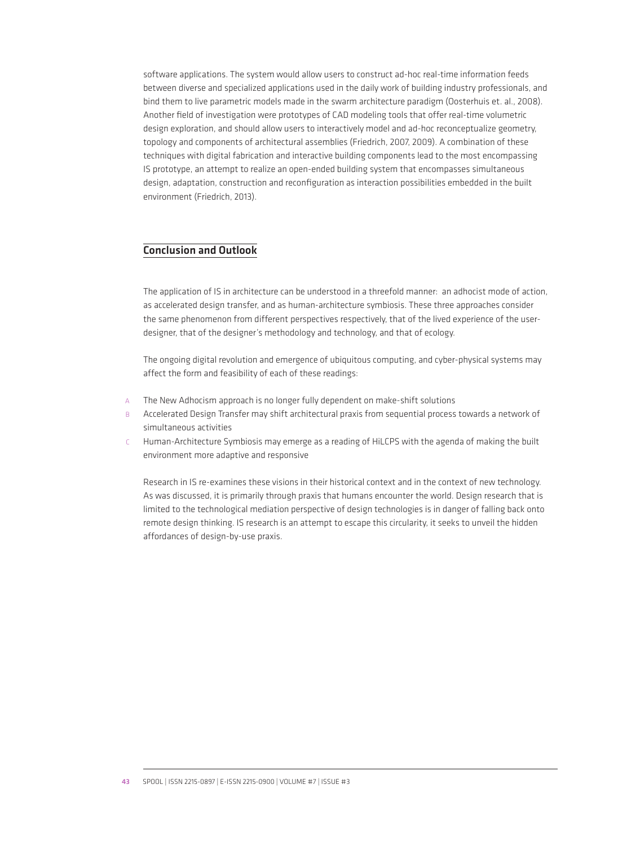software applications. The system would allow users to construct ad-hoc real-time information feeds between diverse and specialized applications used in the daily work of building industry professionals, and bind them to live parametric models made in the swarm architecture paradigm (Oosterhuis et. al., 2008). Another field of investigation were prototypes of CAD modeling tools that offer real-time volumetric design exploration, and should allow users to interactively model and ad-hoc reconceptualize geometry, topology and components of architectural assemblies (Friedrich, 2007, 2009). A combination of these techniques with digital fabrication and interactive building components lead to the most encompassing IS prototype, an attempt to realize an open-ended building system that encompasses simultaneous design, adaptation, construction and reconfiguration as interaction possibilities embedded in the built environment (Friedrich, 2013).

## Conclusion and Outlook

The application of IS in architecture can be understood in a threefold manner: an adhocist mode of action, as accelerated design transfer, and as human-architecture symbiosis. These three approaches consider the same phenomenon from different perspectives respectively, that of the lived experience of the userdesigner, that of the designer's methodology and technology, and that of ecology.

The ongoing digital revolution and emergence of ubiquitous computing, and cyber-physical systems may affect the form and feasibility of each of these readings:

- A The New Adhocism approach is no longer fully dependent on make-shift solutions
- B Accelerated Design Transfer may shift architectural praxis from sequential process towards a network of simultaneous activities
- C Human-Architecture Symbiosis may emerge as a reading of HiLCPS with the agenda of making the built environment more adaptive and responsive

Research in IS re-examines these visions in their historical context and in the context of new technology. As was discussed, it is primarily through praxis that humans encounter the world. Design research that is limited to the technological mediation perspective of design technologies is in danger of falling back onto remote design thinking. IS research is an attempt to escape this circularity, it seeks to unveil the hidden affordances of design-by-use praxis.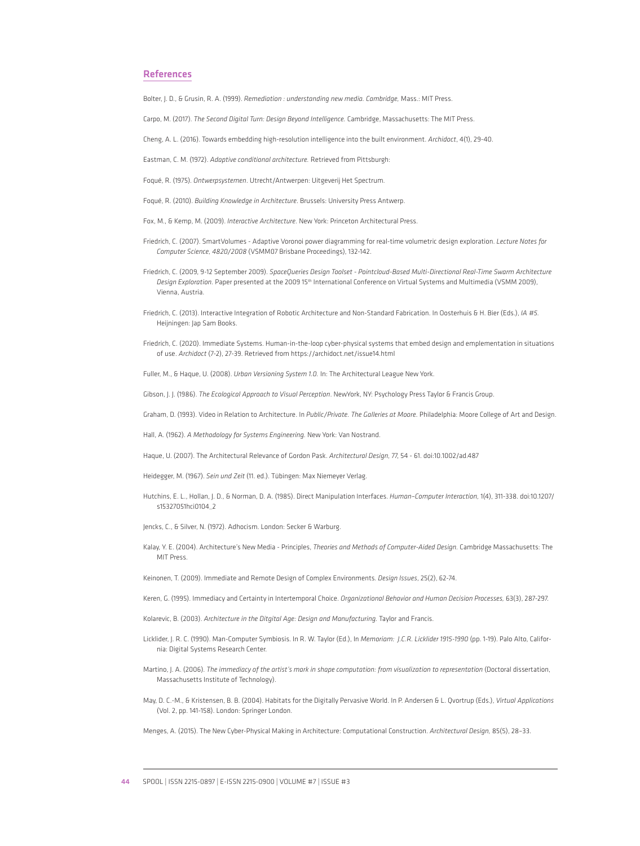#### References

Bolter, J. D., & Grusin, R. A. (1999). *Remediation : understanding new media. Cambridge,* Mass.: MIT Press.

Carpo, M. (2017). *The Second Digital Turn: Design Beyond Intelligence.* Cambridge, Massachusetts: The MIT Press.

Cheng, A. L. (2016). Towards embedding high-resolution intelligence into the built environment. *Archidoct*, 4(1), 29-40.

Eastman, C. M. (1972). *Adaptive conditional architecture.* Retrieved from Pittsburgh:

Foqué, R. (1975). *Ontwerpsystemen*. Utrecht/Antwerpen: Uitgeverij Het Spectrum.

Foqué, R. (2010). *Building Knowledge in Architecture*. Brussels: University Press Antwerp.

Fox, M., & Kemp, M. (2009). *Interactive Architecture.* New York: Princeton Architectural Press.

- Friedrich, C. (2007). SmartVolumes Adaptive Voronoi power diagramming for real-time volumetric design exploration. *Lecture Notes for Computer Science, 4820/2008* (VSMM07 Brisbane Proceedings), 132-142.
- Friedrich, C. (2009, 9-12 September 2009). *SpaceQueries Design Toolset Pointcloud-Based Multi-Directional Real-Time Swarm Architecture*  Design Exploration. Paper presented at the 2009 15<sup>th</sup> International Conference on Virtual Systems and Multimedia (VSMM 2009), Vienna, Austria.
- Friedrich, C. (2013). Interactive Integration of Robotic Architecture and Non-Standard Fabrication. In Oosterhuis & H. Bier (Eds.), *IA #5.* Heijningen: Jap Sam Books.
- Friedrich, C. (2020). Immediate Systems. Human-in-the-loop cyber-physical systems that embed design and emplementation in situations of use. *Archidoct* (7-2), 27-39. Retrieved from https://archidoct.net/issue14.html

Fuller, M., & Haque, U. (2008). *Urban Versioning System 1.0.* In: The Architectural League New York.

Gibson, J. J. (1986). *The Ecological Approach to Visual Perception*. NewYork, NY: Psychology Press Taylor & Francis Group.

Graham, D. (1993). Video in Relation to Architecture. In *Public/Private. The Galleries at Moore.* Philadelphia: Moore College of Art and Design.

Hall, A. (1962). *A Methodology for Systems Engineering.* New York: Van Nostrand.

Haque, U. (2007). The Architectural Relevance of Gordon Pask. *Architectural Design,* 77, 54 - 61. doi:10.1002/ad.487

Heidegger, M. (1967). *Sein und Zeit* (11. ed.). Tübingen: Max Niemeyer Verlag.

Hutchins, E. L., Hollan, J. D., & Norman, D. A. (1985). Direct Manipulation Interfaces. *Human–Computer Interaction,* 1(4), 311-338. doi:10.1207/ s15327051hci0104\_2

Jencks, C., & Silver, N. (1972). Adhocism. London: Secker & Warburg.

Kalay, Y. E. (2004). Architecture's New Media - Principles, *Theories and Methods of Computer-Aided Design.* Cambridge Massachusetts: The MIT Press.

Keinonen, T. (2009). Immediate and Remote Design of Complex Environments. *Design Issues*, 25(2), 62-74.

Keren, G. (1995). Immediacy and Certainty in Intertemporal Choice. *Organizational Behavior and Human Decision Processes,* 63(3), 287-297.

Kolarevic, B. (2003). *Architecture in the Ditgital Age: Design and Manufacturing.* Taylor and Francis.

- Licklider, J. R. C. (1990). Man-Computer Symbiosis. In R. W. Taylor (Ed.), In *Memoriam: J.C.R. Licklider 1915-1990* (pp. 1-19). Palo Alto, California: Digital Systems Research Center.
- Martino, J. A. (2006). *The immediacy of the artist's mark in shape computation: from visualization to representation* (Doctoral dissertation, Massachusetts Institute of Technology).
- May, D. C.-M., & Kristensen, B. B. (2004). Habitats for the Digitally Pervasive World. In P. Andersen & L. Qvortrup (Eds.), *Virtual Applications*  (Vol. 2, pp. 141-158). London: Springer London.

Menges, A. (2015). The New Cyber-Physical Making in Architecture: Computational Construction. *Architectural Design,* 85(5), 28–33.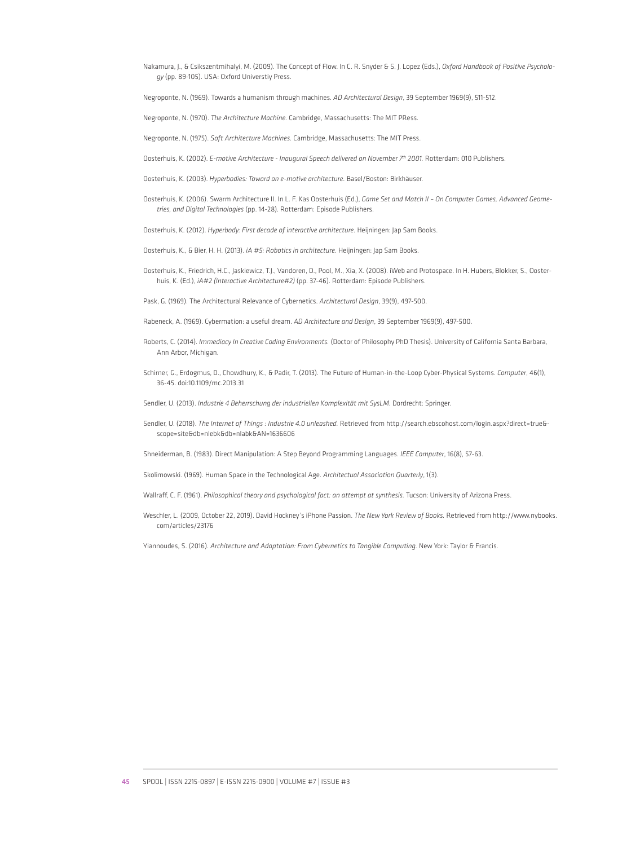Nakamura, J., & Csikszentmihalyi, M. (2009). The Concept of Flow. In C. R. Snyder & S. J. Lopez (Eds.), *Oxford Handbook of Positive Psychology* (pp. 89-105). USA: Oxford Universtiy Press.

Negroponte, N. (1969). Towards a humanism through machines. *AD Architectural Design*, 39 September 1969(9), 511-512.

Negroponte, N. (1970). *The Architecture Machine.* Cambridge, Massachusetts: The MIT PRess.

Negroponte, N. (1975). *Soft Architecture Machines.* Cambridge, Massachusetts: The MIT Press.

Oosterhuis, K. (2002). *E-motive Architecture - Inaugural Speech delivered on November 7th 2001.* Rotterdam: 010 Publishers.

- Oosterhuis, K. (2003). *Hyperbodies: Toward an e-motive architecture.* Basel/Boston: Birkhäuser.
- Oosterhuis, K. (2006). Swarm Architecture II. In L. F. Kas Oosterhuis (Ed.), *Game Set and Match II On Computer Games, Advanced Geometries, and Digital Technologies* (pp. 14-28). Rotterdam: Episode Publishers.

Oosterhuis, K. (2012). *Hyperbody: First decade of interactive architecture.* Heijningen: Jap Sam Books.

- Oosterhuis, K., & Bier, H. H. (2013). *iA #5: Robotics in architecture.* Heijningen: Jap Sam Books.
- Oosterhuis, K., Friedrich, H.C., Jaskiewicz, T.J., Vandoren, D., Pool, M., Xia, X. (2008). iWeb and Protospace. In H. Hubers, Blokker, S., Oosterhuis, K. (Ed.), *iA#2 (Interactive Architecture#2)* (pp. 37-46). Rotterdam: Episode Publishers.
- Pask, G. (1969). The Architectural Relevance of Cybernetics. *Architectural Design*, 39(9), 497-500.

Rabeneck, A. (1969). Cybermation: a useful dream. *AD Architecture and Design*, 39 September 1969(9), 497-500.

- Roberts, C. (2014). *Immediacy In Creative Coding Environments.* (Doctor of Philosophy PhD Thesis). University of California Santa Barbara, Ann Arbor, Michigan.
- Schirner, G., Erdogmus, D., Chowdhury, K., & Padir, T. (2013). The Future of Human-in-the-Loop Cyber-Physical Systems. *Computer*, 46(1), 36-45. doi:10.1109/mc.2013.31
- Sendler, U. (2013). *Industrie 4 Beherrschung der industriellen Komplexität mit SysLM.* Dordrecht: Springer.
- Sendler, U. (2018). *The Internet of Things : Industrie 4.0 unleashed.* Retrieved from http://search.ebscohost.com/login.aspx?direct=true& scope=site&db=nlebk&db=nlabk&AN=1636606
- Shneiderman, B. (1983). Direct Manipulation: A Step Beyond Programming Languages. *IEEE Computer*, 16(8), 57-63.

Skolimowski. (1969). Human Space in the Technological Age. *Architectual Association Quarterly*, 1(3).

- Wallraff, C. F. (1961). *Philosophical theory and psychological fact: an attempt at synthesis.* Tucson: University of Arizona Press.
- Weschler, L. (2009, October 22, 2019). David Hockney's iPhone Passion. *The New York Review of Books.* Retrieved from http://www.nybooks. com/articles/23176

Yiannoudes, S. (2016). *Architecture and Adaptation: From Cybernetics to Tangible Computing.* New York: Taylor & Francis.